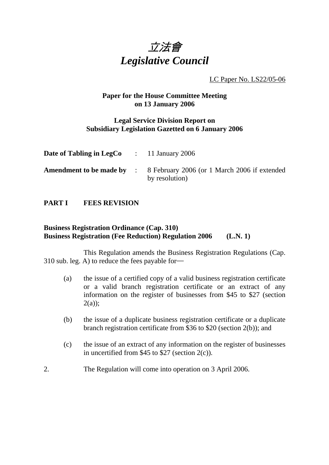

LC Paper No. LS22/05-06

### **Paper for the House Committee Meeting on 13 January 2006**

### **Legal Service Division Report on Subsidiary Legislation Gazetted on 6 January 2006**

| <b>Date of Tabling in LegCo</b> : 11 January 2006 |                                                                                                 |
|---------------------------------------------------|-------------------------------------------------------------------------------------------------|
|                                                   | <b>Amendment to be made by</b> : 8 February 2006 (or 1 March 2006 if extended<br>by resolution) |

#### **PART I FEES REVISION**

### **Business Registration Ordinance (Cap. 310) Business Registration (Fee Reduction) Regulation 2006 (L.N. 1)**

This Regulation amends the Business Registration Regulations (Cap. 310 sub. leg. A) to reduce the fees payable for―

- (a) the issue of a certified copy of a valid business registration certificate or a valid branch registration certificate or an extract of any information on the register of businesses from \$45 to \$27 (section  $2(a)$ ;
- (b) the issue of a duplicate business registration certificate or a duplicate branch registration certificate from \$36 to \$20 (section 2(b)); and
- (c) the issue of an extract of any information on the register of businesses in uncertified from \$45 to \$27 (section 2(c)).
- 2. The Regulation will come into operation on 3 April 2006.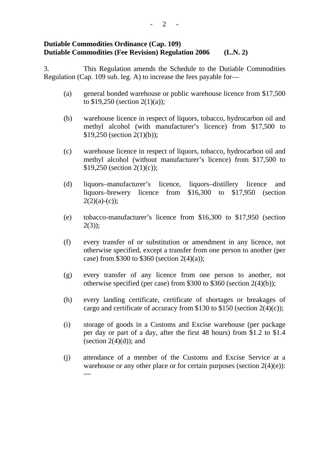### **Dutiable Commodities Ordinance (Cap. 109) Dutiable Commodities (Fee Revision) Regulation 2006 (L.N. 2)**

3. This Regulation amends the Schedule to the Dutiable Commodities Regulation (Cap. 109 sub. leg. A) to increase the fees payable for—

- (a) general bonded warehouse or public warehouse licence from \$17,500 to \$19,250 (section 2(1)(a));
- (b) warehouse licence in respect of liquors, tobacco, hydrocarbon oil and methyl alcohol (with manufacturer's licence) from \$17,500 to \$19,250 (section 2(1)(b));
- (c) warehouse licence in respect of liquors, tobacco, hydrocarbon oil and methyl alcohol (without manufacturer's licence) from \$17,500 to \$19,250 (section 2(1)(c));
- (d) liquors–manufacturer's licence, liquors–distillery licence and liquors–brewery licence from \$16,300 to \$17,950 (section  $2(2)(a)-(c)$ ;
- (e) tobacco-manufacturer's licence from \$16,300 to \$17,950 (section  $2(3)$ ;
- (f) every transfer of or substitution or amendment in any licence, not otherwise specified, except a transfer from one person to another (per case) from \$300 to \$360 (section  $2(4)(a)$ );
- (g) every transfer of any licence from one person to another, not otherwise specified (per case) from \$300 to \$360 (section 2(4)(b));
- (h) every landing certificate, certificate of shortages or breakages of cargo and certificate of accuracy from \$130 to \$150 (section  $2(4)(c)$ );
- (i) storage of goods in a Customs and Excise warehouse (per package per day or part of a day, after the first 48 hours) from \$1.2 to \$1.4 (section  $2(4)(d)$ ); and
- (j) attendance of a member of the Customs and Excise Service at a warehouse or any other place or for certain purposes (section 2(4)(e)): ―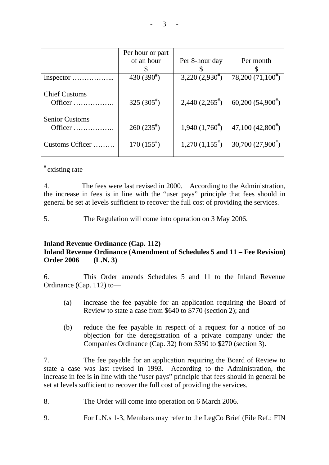|                                  | Per hour or part<br>of an hour | Per 8-hour day      | Per month                          |
|----------------------------------|--------------------------------|---------------------|------------------------------------|
| Inspector                        | 430 $(390^{\texttt{\#}})$      | $3,220(2,930^{\#})$ | 78,200 $(71,100^{\text{*}})$       |
| <b>Chief Customs</b><br>Officer  | 325 $(305^{\text{#}})$         | $2,440(2,265^{\#})$ | 60,200(54,900)                     |
| <b>Senior Customs</b><br>Officer | $260(235^{\text{#}})$          | $1,940(1,760^{\#})$ | $47,100$ $(42,800)$ <sup>#</sup> ) |
| Customs Officer                  | $170(155^{\text{*}})$          | $1,270(1,155^{*})$  | 30,700 $(27,900^{\circ})$          |

## # existing rate

4. The fees were last revised in 2000. According to the Administration, the increase in fees is in line with the "user pays" principle that fees should in general be set at levels sufficient to recover the full cost of providing the services.

5. The Regulation will come into operation on 3 May 2006.

### **Inland Revenue Ordinance (Cap. 112)**

### **Inland Revenue Ordinance (Amendment of Schedules 5 and 11 – Fee Revision) Order 2006 (L.N. 3)**

6. This Order amends Schedules 5 and 11 to the Inland Revenue Ordinance (Cap. 112) to―

- (a) increase the fee payable for an application requiring the Board of Review to state a case from \$640 to \$770 (section 2); and
- (b) reduce the fee payable in respect of a request for a notice of no objection for the deregistration of a private company under the Companies Ordinance (Cap. 32) from \$350 to \$270 (section 3).

7. The fee payable for an application requiring the Board of Review to state a case was last revised in 1993. According to the Administration, the increase in fee is in line with the "user pays" principle that fees should in general be set at levels sufficient to recover the full cost of providing the services.

- 8. The Order will come into operation on 6 March 2006.
- 9. For L.N.s 1-3, Members may refer to the LegCo Brief (File Ref.: FIN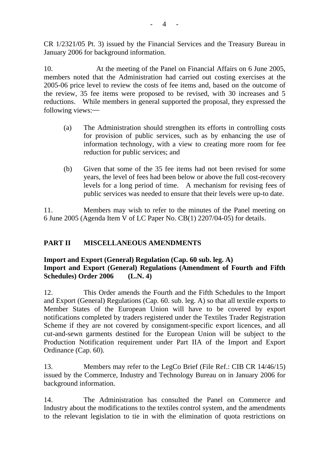CR 1/2321/05 Pt. 3) issued by the Financial Services and the Treasury Bureau in January 2006 for background information.

10. At the meeting of the Panel on Financial Affairs on 6 June 2005, members noted that the Administration had carried out costing exercises at the 2005-06 price level to review the costs of fee items and, based on the outcome of the review, 35 fee items were proposed to be revised, with 30 increases and 5 reductions. While members in general supported the proposal, they expressed the following views:―

- (a) The Administration should strengthen its efforts in controlling costs for provision of public services, such as by enhancing the use of information technology, with a view to creating more room for fee reduction for public services; and
- (b) Given that some of the 35 fee items had not been revised for some years, the level of fees had been below or above the full cost-recovery levels for a long period of time. A mechanism for revising fees of public services was needed to ensure that their levels were up-to date.

11. Members may wish to refer to the minutes of the Panel meeting on 6 June 2005 (Agenda Item V of LC Paper No. CB(1) 2207/04-05) for details.

# **PART II MISCELLANEOUS AMENDMENTS**

### **Import and Export (General) Regulation (Cap. 60 sub. leg. A) Import and Export (General) Regulations (Amendment of Fourth and Fifth Schedules) Order 2006 (L.N. 4)**

12. This Order amends the Fourth and the Fifth Schedules to the Import and Export (General) Regulations (Cap. 60. sub. leg. A) so that all textile exports to Member States of the European Union will have to be covered by export notifications completed by traders registered under the Textiles Trader Registration Scheme if they are not covered by consignment-specific export licences, and all cut-and-sewn garments destined for the European Union will be subject to the Production Notification requirement under Part IIA of the Import and Export Ordinance (Cap. 60).

13. Members may refer to the LegCo Brief (File Ref.: CIB CR 14/46/15) issued by the Commerce, Industry and Technology Bureau on in January 2006 for background information.

14. The Administration has consulted the Panel on Commerce and Industry about the modifications to the textiles control system, and the amendments to the relevant legislation to tie in with the elimination of quota restrictions on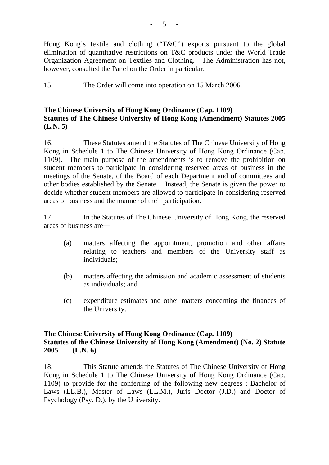Hong Kong's textile and clothing ("T&C") exports pursuant to the global elimination of quantitative restrictions on T&C products under the World Trade Organization Agreement on Textiles and Clothing. The Administration has not, however, consulted the Panel on the Order in particular.

15. The Order will come into operation on 15 March 2006.

### **The Chinese University of Hong Kong Ordinance (Cap. 1109) Statutes of The Chinese University of Hong Kong (Amendment) Statutes 2005 (L.N. 5)**

16. These Statutes amend the Statutes of The Chinese University of Hong Kong in Schedule 1 to The Chinese University of Hong Kong Ordinance (Cap. 1109). The main purpose of the amendments is to remove the prohibition on student members to participate in considering reserved areas of business in the meetings of the Senate, of the Board of each Department and of committees and other bodies established by the Senate. Instead, the Senate is given the power to decide whether student members are allowed to participate in considering reserved areas of business and the manner of their participation.

17. In the Statutes of The Chinese University of Hong Kong, the reserved areas of business are—

- (a) matters affecting the appointment, promotion and other affairs relating to teachers and members of the University staff as individuals;
- (b) matters affecting the admission and academic assessment of students as individuals; and
- (c) expenditure estimates and other matters concerning the finances of the University.

### **The Chinese University of Hong Kong Ordinance (Cap. 1109) Statutes of the Chinese University of Hong Kong (Amendment) (No. 2) Statute 2005 (L.N. 6)**

18. This Statute amends the Statutes of The Chinese University of Hong Kong in Schedule 1 to The Chinese University of Hong Kong Ordinance (Cap. 1109) to provide for the conferring of the following new degrees : Bachelor of Laws (LL.B.), Master of Laws (LL.M.), Juris Doctor (J.D.) and Doctor of Psychology (Psy. D.), by the University.